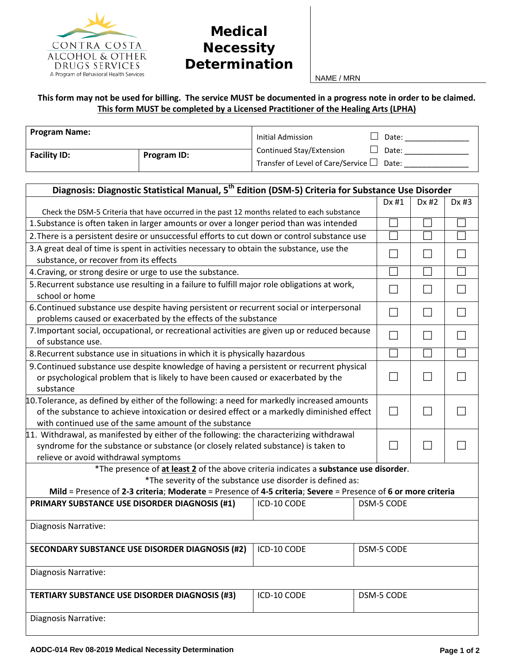

## **Medical Necessity Determination**

NAME / MRN

## **This form may not be used for billing. The service MUST be documented in a progress note in order to be claimed. This form MUST be completed by a Licensed Practitioner of the Healing Arts (LPHA)**

| <b>Program Name:</b> |             | Initial Admission                              | Date: |
|----------------------|-------------|------------------------------------------------|-------|
| <b>Facility ID:</b>  | Program ID: | Continued Stay/Extension                       | Date: |
|                      |             | Transfer of Level of Care/Service $\Box$ Date: |       |

| Diagnosis: Diagnostic Statistical Manual, 5 <sup>th</sup> Edition (DSM-5) Criteria for Substance Use Disorder |             |  |            |            |       |  |  |
|---------------------------------------------------------------------------------------------------------------|-------------|--|------------|------------|-------|--|--|
|                                                                                                               |             |  | Dx #1      | Dx #2      | Dx #3 |  |  |
| Check the DSM-5 Criteria that have occurred in the past 12 months related to each substance                   |             |  |            |            |       |  |  |
| 1. Substance is often taken in larger amounts or over a longer period than was intended                       |             |  |            |            |       |  |  |
| 2. There is a persistent desire or unsuccessful efforts to cut down or control substance use                  |             |  |            |            |       |  |  |
| 3.A great deal of time is spent in activities necessary to obtain the substance, use the                      |             |  |            |            |       |  |  |
| substance, or recover from its effects                                                                        |             |  |            |            |       |  |  |
| 4. Craving, or strong desire or urge to use the substance.                                                    |             |  |            |            |       |  |  |
| 5. Recurrent substance use resulting in a failure to fulfill major role obligations at work,                  |             |  |            |            |       |  |  |
| school or home                                                                                                |             |  |            |            |       |  |  |
| 6. Continued substance use despite having persistent or recurrent social or interpersonal                     |             |  |            |            |       |  |  |
| problems caused or exacerbated by the effects of the substance                                                |             |  |            |            |       |  |  |
| 7. Important social, occupational, or recreational activities are given up or reduced because                 |             |  |            |            |       |  |  |
| of substance use.                                                                                             |             |  |            |            |       |  |  |
| 8. Recurrent substance use in situations in which it is physically hazardous                                  |             |  |            |            |       |  |  |
| 9. Continued substance use despite knowledge of having a persistent or recurrent physical                     |             |  |            |            |       |  |  |
| or psychological problem that is likely to have been caused or exacerbated by the                             |             |  |            |            |       |  |  |
| substance                                                                                                     |             |  |            |            |       |  |  |
| $10$ . Tolerance, as defined by either of the following: a need for markedly increased amounts                |             |  |            |            |       |  |  |
| of the substance to achieve intoxication or desired effect or a markedly diminished effect                    |             |  |            |            |       |  |  |
| with continued use of the same amount of the substance                                                        |             |  |            |            |       |  |  |
| 11. Withdrawal, as manifested by either of the following: the characterizing withdrawal                       |             |  |            |            |       |  |  |
| syndrome for the substance or substance (or closely related substance) is taken to                            |             |  |            |            |       |  |  |
| relieve or avoid withdrawal symptoms                                                                          |             |  |            |            |       |  |  |
| *The presence of at least 2 of the above criteria indicates a substance use disorder.                         |             |  |            |            |       |  |  |
| *The severity of the substance use disorder is defined as:                                                    |             |  |            |            |       |  |  |
| Mild = Presence of 2-3 criteria; Moderate = Presence of 4-5 criteria; Severe = Presence of 6 or more criteria |             |  |            |            |       |  |  |
| PRIMARY SUBSTANCE USE DISORDER DIAGNOSIS (#1)                                                                 | ICD-10 CODE |  | DSM-5 CODE |            |       |  |  |
| Diagnosis Narrative:                                                                                          |             |  |            |            |       |  |  |
|                                                                                                               |             |  |            |            |       |  |  |
| <b>SECONDARY SUBSTANCE USE DISORDER DIAGNOSIS (#2)</b>                                                        | ICD-10 CODE |  |            | DSM-5 CODE |       |  |  |
|                                                                                                               |             |  |            |            |       |  |  |
| Diagnosis Narrative:                                                                                          |             |  |            |            |       |  |  |
|                                                                                                               |             |  |            |            |       |  |  |
| ICD-10 CODE<br><b>TERTIARY SUBSTANCE USE DISORDER DIAGNOSIS (#3)</b>                                          |             |  | DSM-5 CODE |            |       |  |  |
|                                                                                                               |             |  |            |            |       |  |  |
| Diagnosis Narrative:                                                                                          |             |  |            |            |       |  |  |
|                                                                                                               |             |  |            |            |       |  |  |